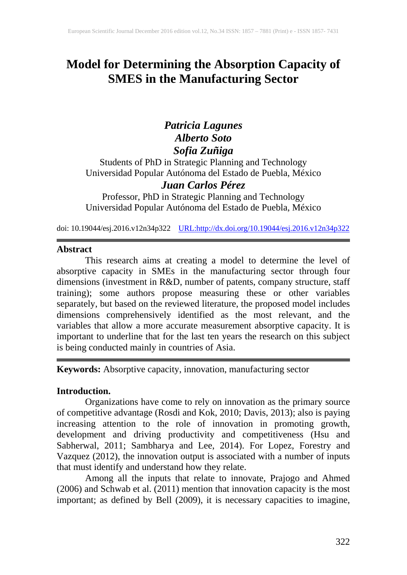# **Model for Determining the Absorption Capacity of SMES in the Manufacturing Sector**

# *Patricia Lagunes Alberto Soto Sofia Zuñiga*

Students of PhD in Strategic Planning and Technology Universidad Popular Autónoma del Estado de Puebla, México *Juan Carlos Pérez*

Professor, PhD in Strategic Planning and Technology Universidad Popular Autónoma del Estado de Puebla, México

doi: 10.19044/esj.2016.v12n34p322 [URL:http://dx.doi.org/10.19044/esj.2016.v12n34p322](http://dx.doi.org/10.19044/esj.2016.v12n34p322)

#### **Abstract**

This research aims at creating a model to determine the level of absorptive capacity in SMEs in the manufacturing sector through four dimensions (investment in R&D, number of patents, company structure, staff training); some authors propose measuring these or other variables separately, but based on the reviewed literature, the proposed model includes dimensions comprehensively identified as the most relevant, and the variables that allow a more accurate measurement absorptive capacity. It is important to underline that for the last ten years the research on this subject is being conducted mainly in countries of Asia.

# **Keywords:** Absorptive capacity, innovation, manufacturing sector

#### **Introduction.**

Organizations have come to rely on innovation as the primary source of competitive advantage (Rosdi and Kok, 2010; Davis, 2013); also is paying increasing attention to the role of innovation in promoting growth, development and driving productivity and competitiveness (Hsu and Sabherwal, 2011; Sambharya and Lee, 2014). For Lopez, Forestry and Vazquez (2012), the innovation output is associated with a number of inputs that must identify and understand how they relate.

Among all the inputs that relate to innovate, Prajogo and Ahmed (2006) and Schwab et al. (2011) mention that innovation capacity is the most important; as defined by Bell (2009), it is necessary capacities to imagine,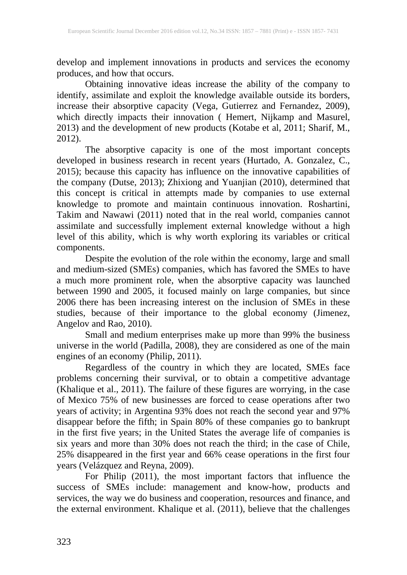develop and implement innovations in products and services the economy produces, and how that occurs.

Obtaining innovative ideas increase the ability of the company to identify, assimilate and exploit the knowledge available outside its borders, increase their absorptive capacity (Vega, Gutierrez and Fernandez, 2009), which directly impacts their innovation ( Hemert, Nijkamp and Masurel, 2013) and the development of new products (Kotabe et al, 2011; Sharif, M., 2012).

The absorptive capacity is one of the most important concepts developed in business research in recent years (Hurtado, A. Gonzalez, C., 2015); because this capacity has influence on the innovative capabilities of the company (Dutse, 2013); Zhixiong and Yuanjian (2010), determined that this concept is critical in attempts made by companies to use external knowledge to promote and maintain continuous innovation. Roshartini, Takim and Nawawi (2011) noted that in the real world, companies cannot assimilate and successfully implement external knowledge without a high level of this ability, which is why worth exploring its variables or critical components.

Despite the evolution of the role within the economy, large and small and medium-sized (SMEs) companies, which has favored the SMEs to have a much more prominent role, when the absorptive capacity was launched between 1990 and 2005, it focused mainly on large companies, but since 2006 there has been increasing interest on the inclusion of SMEs in these studies, because of their importance to the global economy (Jimenez, Angelov and Rao, 2010).

Small and medium enterprises make up more than 99% the business universe in the world (Padilla, 2008), they are considered as one of the main engines of an economy (Philip, 2011).

Regardless of the country in which they are located, SMEs face problems concerning their survival, or to obtain a competitive advantage (Khalique et al., 2011). The failure of these figures are worrying, in the case of Mexico 75% of new businesses are forced to cease operations after two years of activity; in Argentina 93% does not reach the second year and 97% disappear before the fifth; in Spain 80% of these companies go to bankrupt in the first five years; in the United States the average life of companies is six years and more than 30% does not reach the third; in the case of Chile, 25% disappeared in the first year and 66% cease operations in the first four years (Velázquez and Reyna, 2009).

For Philip (2011), the most important factors that influence the success of SMEs include: management and know-how, products and services, the way we do business and cooperation, resources and finance, and the external environment. Khalique et al. (2011), believe that the challenges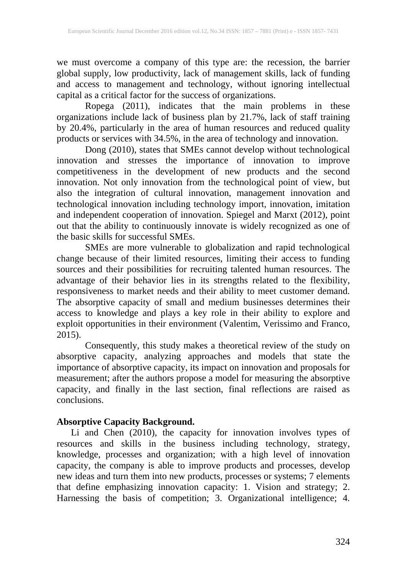we must overcome a company of this type are: the recession, the barrier global supply, low productivity, lack of management skills, lack of funding and access to management and technology, without ignoring intellectual capital as a critical factor for the success of organizations.

Ropega (2011), indicates that the main problems in these organizations include lack of business plan by 21.7%, lack of staff training by 20.4%, particularly in the area of human resources and reduced quality products or services with 34.5%, in the area of technology and innovation.

Dong (2010), states that SMEs cannot develop without technological innovation and stresses the importance of innovation to improve competitiveness in the development of new products and the second innovation. Not only innovation from the technological point of view, but also the integration of cultural innovation, management innovation and technological innovation including technology import, innovation, imitation and independent cooperation of innovation. Spiegel and Marxt (2012), point out that the ability to continuously innovate is widely recognized as one of the basic skills for successful SMEs.

SMEs are more vulnerable to globalization and rapid technological change because of their limited resources, limiting their access to funding sources and their possibilities for recruiting talented human resources. The advantage of their behavior lies in its strengths related to the flexibility, responsiveness to market needs and their ability to meet customer demand. The absorptive capacity of small and medium businesses determines their access to knowledge and plays a key role in their ability to explore and exploit opportunities in their environment (Valentim, Verissimo and Franco, 2015).

Consequently, this study makes a theoretical review of the study on absorptive capacity, analyzing approaches and models that state the importance of absorptive capacity, its impact on innovation and proposals for measurement; after the authors propose a model for measuring the absorptive capacity, and finally in the last section, final reflections are raised as conclusions.

# **Absorptive Capacity Background.**

Li and Chen (2010), the capacity for innovation involves types of resources and skills in the business including technology, strategy, knowledge, processes and organization; with a high level of innovation capacity, the company is able to improve products and processes, develop new ideas and turn them into new products, processes or systems; 7 elements that define emphasizing innovation capacity: 1. Vision and strategy; 2. Harnessing the basis of competition; 3. Organizational intelligence; 4.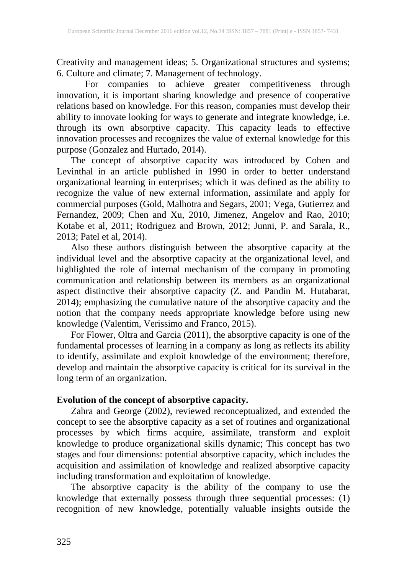Creativity and management ideas; 5. Organizational structures and systems; 6. Culture and climate; 7. Management of technology.

For companies to achieve greater competitiveness through innovation, it is important sharing knowledge and presence of cooperative relations based on knowledge. For this reason, companies must develop their ability to innovate looking for ways to generate and integrate knowledge, i.e. through its own absorptive capacity. This capacity leads to effective innovation processes and recognizes the value of external knowledge for this purpose (Gonzalez and Hurtado, 2014).

The concept of absorptive capacity was introduced by Cohen and Levinthal in an article published in 1990 in order to better understand organizational learning in enterprises; which it was defined as the ability to recognize the value of new external information, assimilate and apply for commercial purposes (Gold, Malhotra and Segars, 2001; Vega, Gutierrez and Fernandez, 2009; Chen and Xu, 2010, Jimenez, Angelov and Rao, 2010; Kotabe et al, 2011; Rodriguez and Brown, 2012; Junni, P. and Sarala, R., 2013; Patel et al, 2014).

Also these authors distinguish between the absorptive capacity at the individual level and the absorptive capacity at the organizational level, and highlighted the role of internal mechanism of the company in promoting communication and relationship between its members as an organizational aspect distinctive their absorptive capacity (Z. and Pandin M. Hutabarat, 2014); emphasizing the cumulative nature of the absorptive capacity and the notion that the company needs appropriate knowledge before using new knowledge (Valentim, Verissimo and Franco, 2015).

For Flower, Oltra and Garcia (2011), the absorptive capacity is one of the fundamental processes of learning in a company as long as reflects its ability to identify, assimilate and exploit knowledge of the environment; therefore, develop and maintain the absorptive capacity is critical for its survival in the long term of an organization.

## **Evolution of the concept of absorptive capacity.**

Zahra and George (2002), reviewed reconceptualized, and extended the concept to see the absorptive capacity as a set of routines and organizational processes by which firms acquire, assimilate, transform and exploit knowledge to produce organizational skills dynamic; This concept has two stages and four dimensions: potential absorptive capacity, which includes the acquisition and assimilation of knowledge and realized absorptive capacity including transformation and exploitation of knowledge.

The absorptive capacity is the ability of the company to use the knowledge that externally possess through three sequential processes: (1) recognition of new knowledge, potentially valuable insights outside the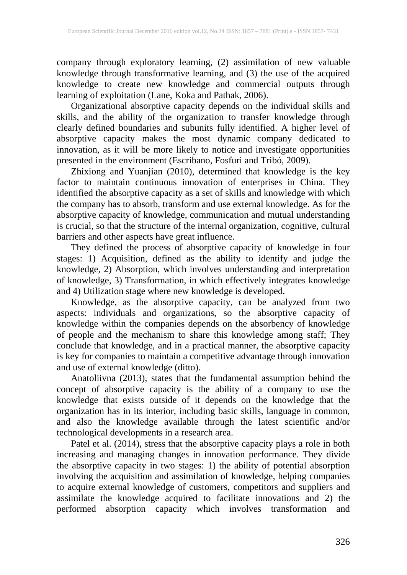company through exploratory learning, (2) assimilation of new valuable knowledge through transformative learning, and (3) the use of the acquired knowledge to create new knowledge and commercial outputs through learning of exploitation (Lane, Koka and Pathak, 2006).

Organizational absorptive capacity depends on the individual skills and skills, and the ability of the organization to transfer knowledge through clearly defined boundaries and subunits fully identified. A higher level of absorptive capacity makes the most dynamic company dedicated to innovation, as it will be more likely to notice and investigate opportunities presented in the environment (Escribano, Fosfuri and Tribó, 2009).

Zhixiong and Yuanjian (2010), determined that knowledge is the key factor to maintain continuous innovation of enterprises in China. They identified the absorptive capacity as a set of skills and knowledge with which the company has to absorb, transform and use external knowledge. As for the absorptive capacity of knowledge, communication and mutual understanding is crucial, so that the structure of the internal organization, cognitive, cultural barriers and other aspects have great influence.

They defined the process of absorptive capacity of knowledge in four stages: 1) Acquisition, defined as the ability to identify and judge the knowledge, 2) Absorption, which involves understanding and interpretation of knowledge, 3) Transformation, in which effectively integrates knowledge and 4) Utilization stage where new knowledge is developed.

Knowledge, as the absorptive capacity, can be analyzed from two aspects: individuals and organizations, so the absorptive capacity of knowledge within the companies depends on the absorbency of knowledge of people and the mechanism to share this knowledge among staff; They conclude that knowledge, and in a practical manner, the absorptive capacity is key for companies to maintain a competitive advantage through innovation and use of external knowledge (ditto).

Anatoliivna (2013), states that the fundamental assumption behind the concept of absorptive capacity is the ability of a company to use the knowledge that exists outside of it depends on the knowledge that the organization has in its interior, including basic skills, language in common, and also the knowledge available through the latest scientific and/or technological developments in a research area.

Patel et al. (2014), stress that the absorptive capacity plays a role in both increasing and managing changes in innovation performance. They divide the absorptive capacity in two stages: 1) the ability of potential absorption involving the acquisition and assimilation of knowledge, helping companies to acquire external knowledge of customers, competitors and suppliers and assimilate the knowledge acquired to facilitate innovations and 2) the performed absorption capacity which involves transformation and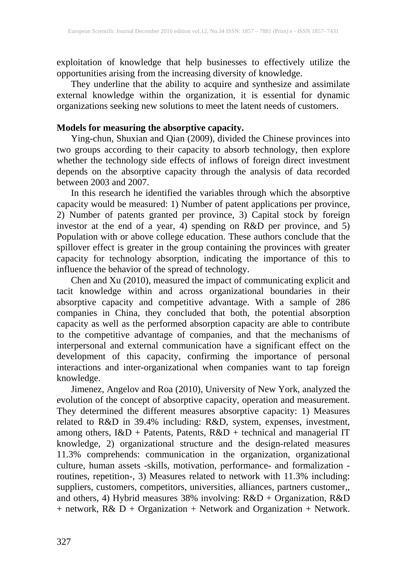exploitation of knowledge that help businesses to effectively utilize the opportunities arising from the increasing diversity of knowledge.

They underline that the ability to acquire and synthesize and assimilate external knowledge within the organization, it is essential for dynamic organizations seeking new solutions to meet the latent needs of customers.

## **Models for measuring the absorptive capacity.**

Ying-chun, Shuxian and Qian (2009), divided the Chinese provinces into two groups according to their capacity to absorb technology, then explore whether the technology side effects of inflows of foreign direct investment depends on the absorptive capacity through the analysis of data recorded between 2003 and 2007.

In this research he identified the variables through which the absorptive capacity would be measured: 1) Number of patent applications per province, 2) Number of patents granted per province, 3) Capital stock by foreign investor at the end of a year, 4) spending on R&D per province, and 5) Population with or above college education. These authors conclude that the spillover effect is greater in the group containing the provinces with greater capacity for technology absorption, indicating the importance of this to influence the behavior of the spread of technology.

Chen and Xu (2010), measured the impact of communicating explicit and tacit knowledge within and across organizational boundaries in their absorptive capacity and competitive advantage. With a sample of 286 companies in China, they concluded that both, the potential absorption capacity as well as the performed absorption capacity are able to contribute to the competitive advantage of companies, and that the mechanisms of interpersonal and external communication have a significant effect on the development of this capacity, confirming the importance of personal interactions and inter-organizational when companies want to tap foreign knowledge.

Jimenez, Angelov and Roa (2010), University of New York, analyzed the evolution of the concept of absorptive capacity, operation and measurement. They determined the different measures absorptive capacity: 1) Measures related to R&D in 39.4% including: R&D, system, expenses, investment, among others, I&D + Patents, Patents, R&D + technical and managerial IT knowledge, 2) organizational structure and the design-related measures 11.3% comprehends: communication in the organization, organizational culture, human assets -skills, motivation, performance- and formalization routines, repetition-, 3) Measures related to network with 11.3% including: suppliers, customers, competitors, universities, alliances, partners customer,, and others, 4) Hybrid measures 38% involving: R&D + Organization, R&D + network, R& D + Organization + Network and Organization + Network.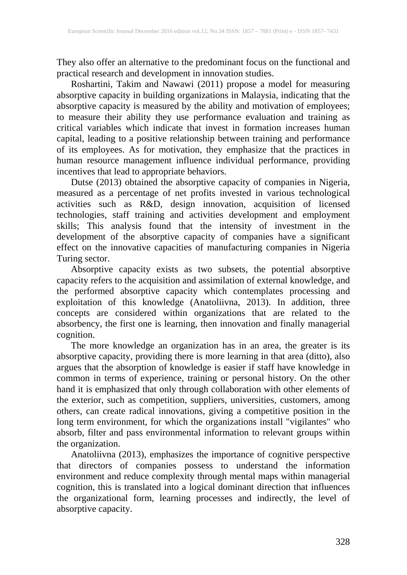They also offer an alternative to the predominant focus on the functional and practical research and development in innovation studies.

Roshartini, Takim and Nawawi (2011) propose a model for measuring absorptive capacity in building organizations in Malaysia, indicating that the absorptive capacity is measured by the ability and motivation of employees; to measure their ability they use performance evaluation and training as critical variables which indicate that invest in formation increases human capital, leading to a positive relationship between training and performance of its employees. As for motivation, they emphasize that the practices in human resource management influence individual performance, providing incentives that lead to appropriate behaviors.

Dutse (2013) obtained the absorptive capacity of companies in Nigeria, measured as a percentage of net profits invested in various technological activities such as R&D, design innovation, acquisition of licensed technologies, staff training and activities development and employment skills; This analysis found that the intensity of investment in the development of the absorptive capacity of companies have a significant effect on the innovative capacities of manufacturing companies in Nigeria Turing sector.

Absorptive capacity exists as two subsets, the potential absorptive capacity refers to the acquisition and assimilation of external knowledge, and the performed absorptive capacity which contemplates processing and exploitation of this knowledge (Anatoliivna, 2013). In addition, three concepts are considered within organizations that are related to the absorbency, the first one is learning, then innovation and finally managerial cognition.

The more knowledge an organization has in an area, the greater is its absorptive capacity, providing there is more learning in that area (ditto), also argues that the absorption of knowledge is easier if staff have knowledge in common in terms of experience, training or personal history. On the other hand it is emphasized that only through collaboration with other elements of the exterior, such as competition, suppliers, universities, customers, among others, can create radical innovations, giving a competitive position in the long term environment, for which the organizations install "vigilantes" who absorb, filter and pass environmental information to relevant groups within the organization.

Anatoliivna (2013), emphasizes the importance of cognitive perspective that directors of companies possess to understand the information environment and reduce complexity through mental maps within managerial cognition, this is translated into a logical dominant direction that influences the organizational form, learning processes and indirectly, the level of absorptive capacity.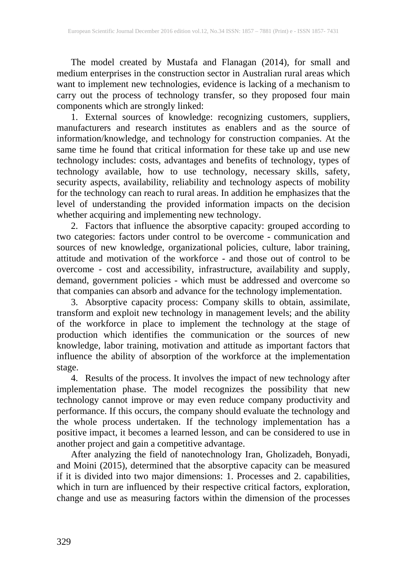The model created by Mustafa and Flanagan (2014), for small and medium enterprises in the construction sector in Australian rural areas which want to implement new technologies, evidence is lacking of a mechanism to carry out the process of technology transfer, so they proposed four main components which are strongly linked:

1. External sources of knowledge: recognizing customers, suppliers, manufacturers and research institutes as enablers and as the source of information/knowledge, and technology for construction companies. At the same time he found that critical information for these take up and use new technology includes: costs, advantages and benefits of technology, types of technology available, how to use technology, necessary skills, safety, security aspects, availability, reliability and technology aspects of mobility for the technology can reach to rural areas. In addition he emphasizes that the level of understanding the provided information impacts on the decision whether acquiring and implementing new technology.

2. Factors that influence the absorptive capacity: grouped according to two categories: factors under control to be overcome - communication and sources of new knowledge, organizational policies, culture, labor training, attitude and motivation of the workforce - and those out of control to be overcome - cost and accessibility, infrastructure, availability and supply, demand, government policies - which must be addressed and overcome so that companies can absorb and advance for the technology implementation.

3. Absorptive capacity process: Company skills to obtain, assimilate, transform and exploit new technology in management levels; and the ability of the workforce in place to implement the technology at the stage of production which identifies the communication or the sources of new knowledge, labor training, motivation and attitude as important factors that influence the ability of absorption of the workforce at the implementation stage.

4. Results of the process. It involves the impact of new technology after implementation phase. The model recognizes the possibility that new technology cannot improve or may even reduce company productivity and performance. If this occurs, the company should evaluate the technology and the whole process undertaken. If the technology implementation has a positive impact, it becomes a learned lesson, and can be considered to use in another project and gain a competitive advantage.

After analyzing the field of nanotechnology Iran, Gholizadeh, Bonyadi, and Moini (2015), determined that the absorptive capacity can be measured if it is divided into two major dimensions: 1. Processes and 2. capabilities, which in turn are influenced by their respective critical factors, exploration, change and use as measuring factors within the dimension of the processes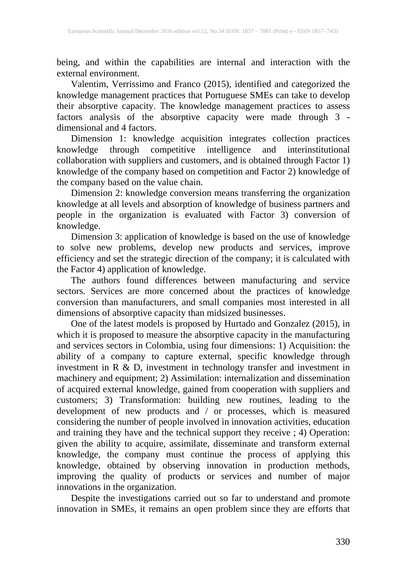being, and within the capabilities are internal and interaction with the external environment.

Valentim, Verrissimo and Franco (2015), identified and categorized the knowledge management practices that Portuguese SMEs can take to develop their absorptive capacity. The knowledge management practices to assess factors analysis of the absorptive capacity were made through 3 dimensional and 4 factors.

Dimension 1: knowledge acquisition integrates collection practices knowledge through competitive intelligence and interinstitutional collaboration with suppliers and customers, and is obtained through Factor 1) knowledge of the company based on competition and Factor 2) knowledge of the company based on the value chain.

Dimension 2: knowledge conversion means transferring the organization knowledge at all levels and absorption of knowledge of business partners and people in the organization is evaluated with Factor 3) conversion of knowledge.

Dimension 3: application of knowledge is based on the use of knowledge to solve new problems, develop new products and services, improve efficiency and set the strategic direction of the company; it is calculated with the Factor 4) application of knowledge.

The authors found differences between manufacturing and service sectors. Services are more concerned about the practices of knowledge conversion than manufacturers, and small companies most interested in all dimensions of absorptive capacity than midsized businesses.

One of the latest models is proposed by Hurtado and Gonzalez (2015), in which it is proposed to measure the absorptive capacity in the manufacturing and services sectors in Colombia, using four dimensions: 1) Acquisition: the ability of a company to capture external, specific knowledge through investment in R & D, investment in technology transfer and investment in machinery and equipment; 2) Assimilation: internalization and dissemination of acquired external knowledge, gained from cooperation with suppliers and customers; 3) Transformation: building new routines, leading to the development of new products and / or processes, which is measured considering the number of people involved in innovation activities, education and training they have and the technical support they receive ; 4) Operation: given the ability to acquire, assimilate, disseminate and transform external knowledge, the company must continue the process of applying this knowledge, obtained by observing innovation in production methods, improving the quality of products or services and number of major innovations in the organization.

Despite the investigations carried out so far to understand and promote innovation in SMEs, it remains an open problem since they are efforts that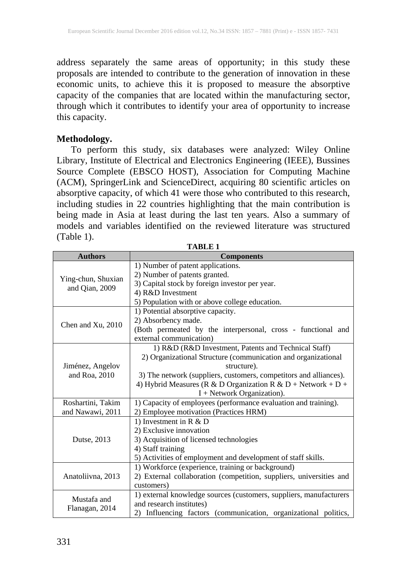address separately the same areas of opportunity; in this study these proposals are intended to contribute to the generation of innovation in these economic units, to achieve this it is proposed to measure the absorptive capacity of the companies that are located within the manufacturing sector, through which it contributes to identify your area of opportunity to increase this capacity.

### **Methodology.**

To perform this study, six databases were analyzed: Wiley Online Library, Institute of Electrical and Electronics Engineering (IEEE), Bussines Source Complete (EBSCO HOST), Association for Computing Machine (ACM), SpringerLink and ScienceDirect, acquiring 80 scientific articles on absorptive capacity, of which 41 were those who contributed to this research, including studies in 22 countries highlighting that the main contribution is being made in Asia at least during the last ten years. Also a summary of models and variables identified on the reviewed literature was structured (Table 1).

| <b>Authors</b>                       | <b>Components</b>                                                   |
|--------------------------------------|---------------------------------------------------------------------|
| Ying-chun, Shuxian<br>and Qian, 2009 | 1) Number of patent applications.                                   |
|                                      | 2) Number of patents granted.                                       |
|                                      | 3) Capital stock by foreign investor per year.                      |
|                                      | 4) R&D Investment                                                   |
|                                      | 5) Population with or above college education.                      |
| Chen and Xu, 2010                    | 1) Potential absorptive capacity.                                   |
|                                      | 2) Absorbency made.                                                 |
|                                      | (Both permeated by the interpersonal, cross - functional and        |
|                                      | external communication)                                             |
|                                      | 1) R&D (R&D Investment, Patents and Technical Staff)                |
|                                      | 2) Organizational Structure (communication and organizational       |
| Jiménez, Angelov                     | structure).                                                         |
| and Roa, 2010                        | 3) The network (suppliers, customers, competitors and alliances).   |
|                                      | 4) Hybrid Measures (R & D Organization R & D + Network + D +        |
|                                      | $I + Network Organization)$ .                                       |
| Roshartini, Takim                    | 1) Capacity of employees (performance evaluation and training).     |
| and Nawawi, 2011                     | 2) Employee motivation (Practices HRM)                              |
| Dutse, 2013                          | 1) Investment in $R & D$                                            |
|                                      | 2) Exclusive innovation                                             |
|                                      | 3) Acquisition of licensed technologies                             |
|                                      | 4) Staff training                                                   |
|                                      | 5) Activities of employment and development of staff skills.        |
| Anatoliivna, 2013                    | 1) Workforce (experience, training or background)                   |
|                                      | 2) External collaboration (competition, suppliers, universities and |
|                                      | customers)                                                          |
| Mustafa and<br>Flanagan, 2014        | 1) external knowledge sources (customers, suppliers, manufacturers  |
|                                      | and research institutes)                                            |
|                                      | 2) Influencing factors (communication, organizational politics,     |

**TABLE 1**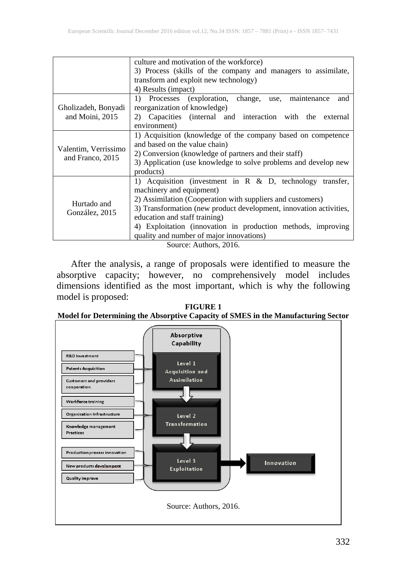|                                          | culture and motivation of the workforce)                           |
|------------------------------------------|--------------------------------------------------------------------|
|                                          | 3) Process (skills of the company and managers to assimilate,      |
|                                          | transform and exploit new technology)                              |
|                                          | 4) Results (impact)                                                |
| Gholizadeh, Bonyadi<br>and Moini, 2015   | 1) Processes (exploration, change, use, maintenance<br>and         |
|                                          | reorganization of knowledge)                                       |
|                                          | Capacities (internal and interaction with the<br>external<br>2)    |
|                                          | environment)                                                       |
| Valentim, Verrissimo<br>and Franco, 2015 | 1) Acquisition (knowledge of the company based on competence       |
|                                          | and based on the value chain)                                      |
|                                          | 2) Conversion (knowledge of partners and their staff)              |
|                                          | 3) Application (use knowledge to solve problems and develop new    |
|                                          | products)                                                          |
| Hurtado and<br>González, 2015            | 1) Acquisition (investment in $R \& D$ , technology transfer,      |
|                                          | machinery and equipment)                                           |
|                                          | 2) Assimilation (Cooperation with suppliers and customers)         |
|                                          | 3) Transformation (new product development, innovation activities, |
|                                          | education and staff training)                                      |
|                                          | 4) Exploitation (innovation in production methods, improving       |
|                                          | quality and number of major innovations)                           |
| Source: Authors, 2016.                   |                                                                    |

After the analysis, a range of proposals were identified to measure the absorptive capacity; however, no comprehensively model includes dimensions identified as the most important, which is why the following model is proposed:

**FIGURE 1 Model for Determining the Absorptive Capacity of SMES in the Manufacturing Sector**

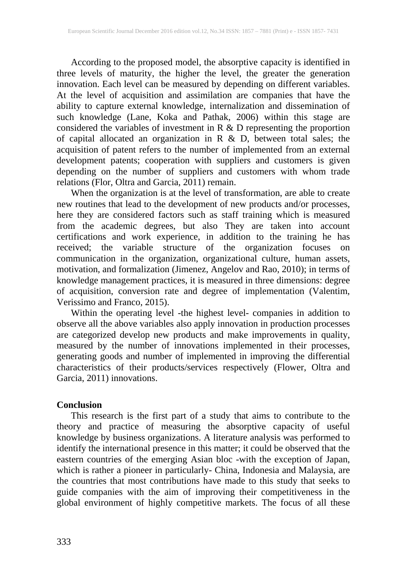According to the proposed model, the absorptive capacity is identified in three levels of maturity, the higher the level, the greater the generation innovation. Each level can be measured by depending on different variables. At the level of acquisition and assimilation are companies that have the ability to capture external knowledge, internalization and dissemination of such knowledge (Lane, Koka and Pathak, 2006) within this stage are considered the variables of investment in  $R \& D$  representing the proportion of capital allocated an organization in  $R \& D$ , between total sales; the acquisition of patent refers to the number of implemented from an external development patents; cooperation with suppliers and customers is given depending on the number of suppliers and customers with whom trade relations (Flor, Oltra and Garcia, 2011) remain.

When the organization is at the level of transformation, are able to create new routines that lead to the development of new products and/or processes, here they are considered factors such as staff training which is measured from the academic degrees, but also They are taken into account certifications and work experience, in addition to the training he has received; the variable structure of the organization focuses on communication in the organization, organizational culture, human assets, motivation, and formalization (Jimenez, Angelov and Rao, 2010); in terms of knowledge management practices, it is measured in three dimensions: degree of acquisition, conversion rate and degree of implementation (Valentim, Verissimo and Franco, 2015).

Within the operating level -the highest level- companies in addition to observe all the above variables also apply innovation in production processes are categorized develop new products and make improvements in quality, measured by the number of innovations implemented in their processes, generating goods and number of implemented in improving the differential characteristics of their products/services respectively (Flower, Oltra and Garcia, 2011) innovations.

#### **Conclusion**

This research is the first part of a study that aims to contribute to the theory and practice of measuring the absorptive capacity of useful knowledge by business organizations. A literature analysis was performed to identify the international presence in this matter; it could be observed that the eastern countries of the emerging Asian bloc -with the exception of Japan, which is rather a pioneer in particularly- China, Indonesia and Malaysia, are the countries that most contributions have made to this study that seeks to guide companies with the aim of improving their competitiveness in the global environment of highly competitive markets. The focus of all these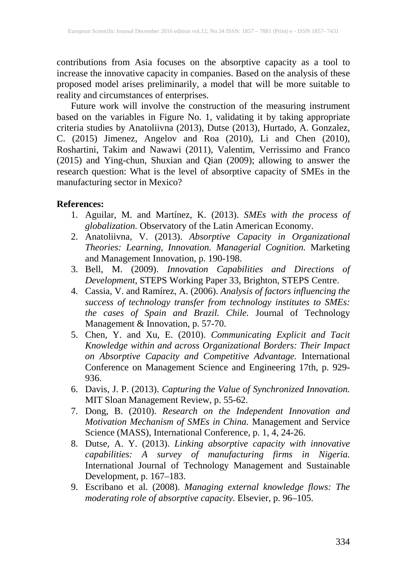contributions from Asia focuses on the absorptive capacity as a tool to increase the innovative capacity in companies. Based on the analysis of these proposed model arises preliminarily, a model that will be more suitable to reality and circumstances of enterprises.

Future work will involve the construction of the measuring instrument based on the variables in Figure No. 1, validating it by taking appropriate criteria studies by Anatoliivna (2013), Dutse (2013), Hurtado, A. Gonzalez, C. (2015) Jimenez, Angelov and Roa (2010), Li and Chen (2010), Roshartini, Takim and Nawawi (2011), Valentim, Verrissimo and Franco (2015) and Ying-chun, Shuxian and Qian (2009); allowing to answer the research question: What is the level of absorptive capacity of SMEs in the manufacturing sector in Mexico?

#### **References:**

- 1. Aguilar, M. and Martínez, K. (2013). *SMEs with the process of globalization.* Observatory of the Latin American Economy.
- 2. Anatoliivna, V. (2013). *Absorptive Capacity in Organizational Theories: Learning, Innovation. Managerial Cognition.* Marketing and Management Innovation, p. 190-198.
- 3. Bell, M. (2009). *Innovation Capabilities and Directions of Development,* STEPS Working Paper 33, Brighton, STEPS Centre.
- 4. Cassia, V. and Ramírez, A. (2006). *Analysis of factors influencing the success of technology transfer from technology institutes to SMEs: the cases of Spain and Brazil. Chile.* Journal of Technology Management & Innovation, p. 57-70.
- 5. Chen, Y. and Xu, E. (2010). *Communicating Explicit and Tacit Knowledge within and across Organizational Borders: Their Impact on Absorptive Capacity and Competitive Advantage.* International Conference on Management Science and Engineering 17th, p. 929- 936.
- 6. Davis, J. P. (2013). *Capturing the Value of Synchronized Innovation.* MIT Sloan Management Review, p. 55-62.
- 7. Dong, B. (2010). *Research on the Independent Innovation and Motivation Mechanism of SMEs in China.* Management and Service Science (MASS), International Conference, p. 1, 4, 24-26.
- 8. Dutse, A. Y. (2013). *Linking absorptive capacity with innovative capabilities: A survey of manufacturing firms in Nigeria.* International Journal of Technology Management and Sustainable Development, p. 167–183.
- 9. Escribano et al. (2008). *Managing external knowledge flows: The moderating role of absorptive capacity.* Elsevier, p. 96–105.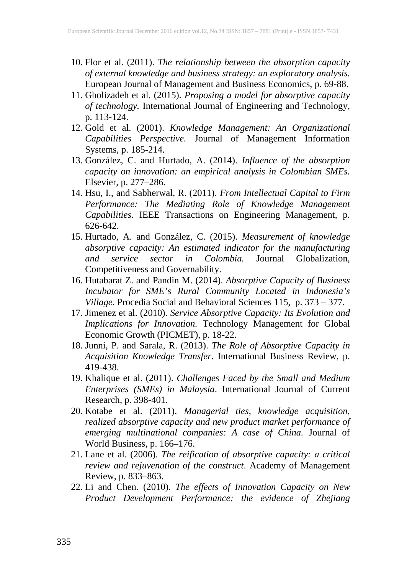- 10. Flor et al. (2011). *The relationship between the absorption capacity of external knowledge and business strategy: an exploratory analysis.* European Journal of Management and Business Economics, p. 69-88.
- 11. Gholizadeh et al. (2015). *Proposing a model for absorptive capacity of technology.* International Journal of Engineering and Technology, p. 113-124.
- 12. Gold et al. (2001). *Knowledge Management: An Organizational Capabilities Perspective.* Journal of Management Information Systems, p. 185-214.
- 13. González, C. and Hurtado, A. (2014). *Influence of the absorption capacity on innovation: an empirical analysis in Colombian SMEs.* Elsevier, p. 277–286.
- 14. Hsu, I., and Sabherwal, R. (2011). *From Intellectual Capital to Firm Performance: The Mediating Role of Knowledge Management Capabilities.* IEEE Transactions on Engineering Management, p. 626-642.
- 15. Hurtado, A. and González, C. (2015). *Measurement of knowledge absorptive capacity: An estimated indicator for the manufacturing and service sector in Colombia.* Journal Globalization, Competitiveness and Governability.
- 16. Hutabarat Z. and Pandin M. (2014). *Absorptive Capacity of Business Incubator for SME's Rural Community Located in Indonesia's Village*. Procedia Social and Behavioral Sciences 115, p. 373 – 377.
- 17. Jimenez et al. (2010). *Service Absorptive Capacity: Its Evolution and Implications for Innovation.* Technology Management for Global Economic Growth (PICMET), p. 18-22.
- 18. Junni, P. and Sarala, R. (2013). *The Role of Absorptive Capacity in Acquisition Knowledge Transfer*. International Business Review, p. 419-438.
- 19. Khalique et al. (2011). *Challenges Faced by the Small and Medium Enterprises (SMEs) in Malaysia*. International Journal of Current Research, p. 398-401.
- 20. Kotabe et al. (2011). *Managerial ties, knowledge acquisition, realized absorptive capacity and new product market performance of emerging multinational companies: A case of China.* Journal of World Business, p. 166–176.
- 21. Lane et al. (2006). *The reification of absorptive capacity: a critical review and rejuvenation of the construct*. Academy of Management Review, p. 833–863.
- 22. Li and Chen. (2010). *The effects of Innovation Capacity on New Product Development Performance: the evidence of Zhejiang*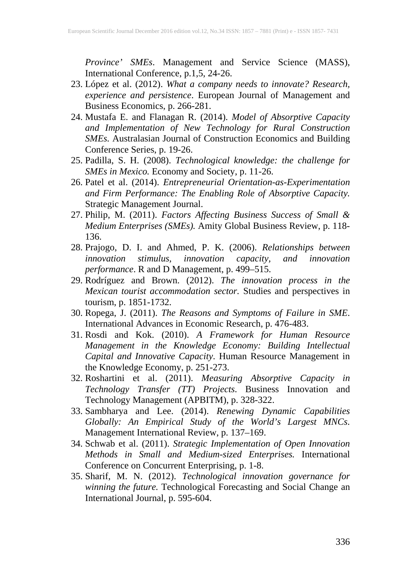*Province' SMEs*. Management and Service Science (MASS), International Conference, p.1,5, 24-26.

- 23. López et al. (2012). *What a company needs to innovate? Research, experience and persistence*. European Journal of Management and Business Economics, p. 266-281.
- 24. Mustafa E. and Flanagan R. (2014). *Model of Absorptive Capacity and Implementation of New Technology for Rural Construction SMEs.* Australasian Journal of Construction Economics and Building Conference Series, p. 19-26.
- 25. Padilla, S. H. (2008). *Technological knowledge: the challenge for SMEs in Mexico.* Economy and Society, p. 11-26.
- 26. Patel et al. (2014). *Entrepreneurial Orientation-as-Experimentation and Firm Performance: The Enabling Role of Absorptive Capacity.* Strategic Management Journal.
- 27. Philip, M. (2011). *Factors Affecting Business Success of Small & Medium Enterprises (SMEs).* Amity Global Business Review, p. 118- 136.
- 28. Prajogo, D. I. and Ahmed, P. K. (2006). *Relationships between innovation stimulus, innovation capacity, and innovation performance*. R and D Management, p. 499–515.
- 29. Rodríguez and Brown. (2012). *The innovation process in the Mexican tourist accommodation sector.* Studies and perspectives in tourism, p. 1851-1732.
- 30. Ropega, J. (2011). *The Reasons and Symptoms of Failure in SME*. International Advances in Economic Research, p. 476-483.
- 31. Rosdi and Kok. (2010). *A Framework for Human Resource Management in the Knowledge Economy: Building Intellectual Capital and Innovative Capacity*. Human Resource Management in the Knowledge Economy, p. 251-273.
- 32. Roshartini et al. (2011). *Measuring Absorptive Capacity in Technology Transfer (TT) Projects*. Business Innovation and Technology Management (APBITM), p. 328-322.
- 33. Sambharya and Lee. (2014). *Renewing Dynamic Capabilities Globally: An Empirical Study of the World's Largest MNCs*. Management International Review, p. 137–169.
- 34. Schwab et al. (2011). *Strategic Implementation of Open Innovation Methods in Small and Medium-sized Enterprises.* International Conference on Concurrent Enterprising, p. 1-8.
- 35. Sharif, M. N. (2012). *Technological innovation governance for winning the future.* Technological Forecasting and Social Change an International Journal, p. 595-604.